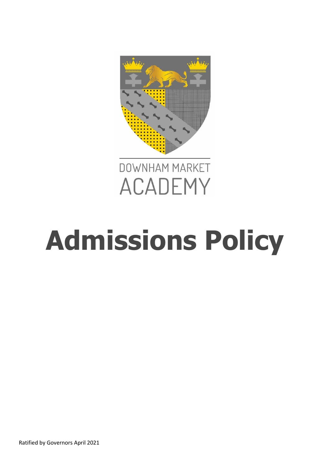



# **Admissions Policy**

Ratified by Governors April 2021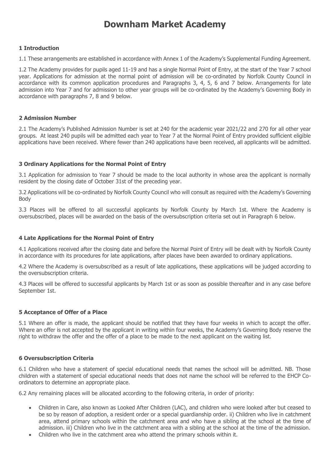# **Downham Market Academy**

#### **1 Introduction**

1.1 These arrangements are established in accordance with Annex 1 of the Academy's Supplemental Funding Agreement.

1.2 The Academy provides for pupils aged 11-19 and has a single Normal Point of Entry, at the start of the Year 7 school year. Applications for admission at the normal point of admission will be co-ordinated by Norfolk County Council in accordance with its common application procedures and Paragraphs 3, 4, 5, 6 and 7 below. Arrangements for late admission into Year 7 and for admission to other year groups will be co-ordinated by the Academy's Governing Body in accordance with paragraphs 7, 8 and 9 below.

#### **2 Admission Number**

2.1 The Academy's Published Admission Number is set at 240 for the academic year 2021/22 and 270 for all other year groups. At least 240 pupils will be admitted each year to Year 7 at the Normal Point of Entry provided sufficient eligible applications have been received. Where fewer than 240 applications have been received, all applicants will be admitted.

#### **3 Ordinary Applications for the Normal Point of Entry**

3.1 Application for admission to Year 7 should be made to the local authority in whose area the applicant is normally resident by the closing date of October 31st of the preceding year.

3.2 Applications will be co-ordinated by Norfolk County Council who will consult as required with the Academy's Governing Body

3.3 Places will be offered to all successful applicants by Norfolk County by March 1st. Where the Academy is oversubscribed, places will be awarded on the basis of the oversubscription criteria set out in Paragraph 6 below.

## **4 Late Applications for the Normal Point of Entry**

4.1 Applications received after the closing date and before the Normal Point of Entry will be dealt with by Norfolk County in accordance with its procedures for late applications, after places have been awarded to ordinary applications.

4.2 Where the Academy is oversubscribed as a result of late applications, these applications will be judged according to the oversubscription criteria.

4.3 Places will be offered to successful applicants by March 1st or as soon as possible thereafter and in any case before September 1st.

#### **5 Acceptance of Offer of a Place**

5.1 Where an offer is made, the applicant should be notified that they have four weeks in which to accept the offer. Where an offer is not accepted by the applicant in writing within four weeks, the Academy's Governing Body reserve the right to withdraw the offer and the offer of a place to be made to the next applicant on the waiting list.

#### **6 Oversubscription Criteria**

6.1 Children who have a statement of special educational needs that names the school will be admitted. NB. Those children with a statement of special educational needs that does not name the school will be referred to the EHCP Coordinators to determine an appropriate place.

6.2 Any remaining places will be allocated according to the following criteria, in order of priority:

- Children in Care, also known as Looked After Children (LAC), and children who were looked after but ceased to be so by reason of adoption, a resident order or a special guardianship order. ii) Children who live in catchment area, attend primary schools within the catchment area and who have a sibling at the school at the time of admission. iii) Children who live in the catchment area with a sibling at the school at the time of the admission.
- Children who live in the catchment area who attend the primary schools within it.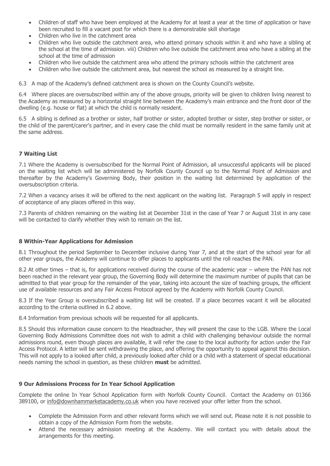- Children of staff who have been employed at the Academy for at least a year at the time of application or have been recruited to fill a vacant post for which there is a demonstrable skill shortage
- Children who live in the catchment area
- Children who live outside the catchment area, who attend primary schools within it and who have a sibling at the school at the time of admission. viii) Children who live outside the catchment area who have a sibling at the school at the time of admission
- Children who live outside the catchment area who attend the primary schools within the catchment area
- Children who live outside the catchment area, but nearest the school as measured by a straight line.

6.3 A map of the Academy's defined catchment area is shown on the County Council's website.

6.4 Where places are oversubscribed within any of the above groups, priority will be given to children living nearest to the Academy as measured by a horizontal straight line between the Academy's main entrance and the front door of the dwelling (e.g. house or flat) at which the child is normally resident.

6.5 A sibling is defined as a brother or sister, half brother or sister, adopted brother or sister, step brother or sister, or the child of the parent/carer's partner, and in every case the child must be normally resident in the same family unit at the same address.

#### **7 Waiting List**

7.1 Where the Academy is oversubscribed for the Normal Point of Admission, all unsuccessful applicants will be placed on the waiting list which will be administered by Norfolk County Council up to the Normal Point of Admission and thereafter by the Academy's Governing Body, their position in the waiting list determined by application of the oversubscription criteria.

7.2 When a vacancy arises it will be offered to the next applicant on the waiting list. Paragraph 5 will apply in respect of acceptance of any places offered in this way.

7.3 Parents of children remaining on the waiting list at December 31st in the case of Year 7 or August 31st in any case will be contacted to clarify whether they wish to remain on the list.

#### **8 Within-Year Applications for Admission**

8.1 Throughout the period September to December inclusive during Year 7, and at the start of the school year for all other year groups, the Academy will continue to offer places to applicants until the roll reaches the PAN.

8.2 At other times – that is, for applications received during the course of the academic year – where the PAN has not been reached in the relevant year group, the Governing Body will determine the maximum number of pupils that can be admitted to that year group for the remainder of the year, taking into account the size of teaching groups, the efficient use of available resources and any Fair Access Protocol agreed by the Academy with Norfolk County Council.

8.3 If the Year Group is oversubscribed a waiting list will be created. If a place becomes vacant it will be allocated according to the criteria outlined in 6.2 above.

8.4 Information from previous schools will be requested for all applicants.

8.5 Should this information cause concern to the Headteacher, they will present the case to the LGB. Where the Local Governing Body Admissions Committee does not wish to admit a child with challenging behaviour outside the normal admissions round, even though places are available, it will refer the case to the local authority for action under the Fair Access Protocol. A letter will be sent withdrawing the place, and offering the opportunity to appeal against this decision. This will not apply to a looked after child, a previously looked after child or a child with a statement of special educational needs naming the school in question, as these children **must** be admitted.

## **9 Our Admissions Process for In Year School Application**

Complete the online In Year School Application form with Norfolk County Council. Contact the Academy on 01366 389100, or info@downhammarketacademy.co.uk when you have received your offer letter from the school.

- Complete the Admission Form and other relevant forms which we will send out. Please note it is not possible to obtain a copy of the Admission Form from the website.
- Attend the necessary admission meeting at the Academy. We will contact you with details about the arrangements for this meeting.